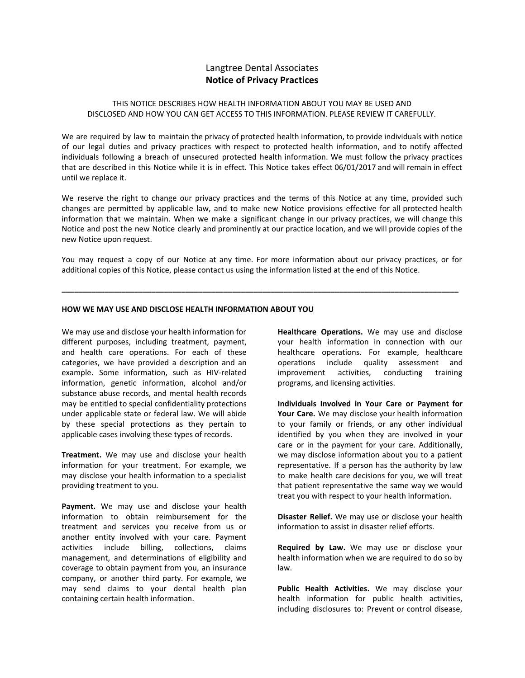# Langtree Dental Associates **Notice of Privacy Practices**

## THIS NOTICE DESCRIBES HOW HEALTH INFORMATION ABOUT YOU MAY BE USED AND DISCLOSED AND HOW YOU CAN GET ACCESS TO THIS INFORMATION. PLEASE REVIEW IT CAREFULLY.

We are required by law to maintain the privacy of protected health information, to provide individuals with notice of our legal duties and privacy practices with respect to protected health information, and to notify affected individuals following a breach of unsecured protected health information. We must follow the privacy practices that are described in this Notice while it is in effect. This Notice takes effect 06/01/2017 and will remain in effect until we replace it.

We reserve the right to change our privacy practices and the terms of this Notice at any time, provided such changes are permitted by applicable law, and to make new Notice provisions effective for all protected health information that we maintain. When we make a significant change in our privacy practices, we will change this Notice and post the new Notice clearly and prominently at our practice location, and we will provide copies of the new Notice upon request.

You may request a copy of our Notice at any time. For more information about our privacy practices, or for additional copies of this Notice, please contact us using the information listed at the end of this Notice.

**\_\_\_\_\_\_\_\_\_\_\_\_\_\_\_\_\_\_\_\_\_\_\_\_\_\_\_\_\_\_\_\_\_\_\_\_\_\_\_\_\_\_\_\_\_\_\_\_\_\_\_\_\_\_\_\_\_\_\_\_\_\_\_\_\_\_\_\_\_\_\_\_\_\_\_\_\_\_\_\_\_\_\_\_\_\_\_\_\_\_\_\_\_**

## **HOW WE MAY USE AND DISCLOSE HEALTH INFORMATION ABOUT YOU**

We may use and disclose your health information for different purposes, including treatment, payment, and health care operations. For each of these categories, we have provided a description and an example. Some information, such as HIV-related information, genetic information, alcohol and/or substance abuse records, and mental health records may be entitled to special confidentiality protections under applicable state or federal law. We will abide by these special protections as they pertain to applicable cases involving these types of records.

**Treatment.** We may use and disclose your health information for your treatment. For example, we may disclose your health information to a specialist providing treatment to you.

Payment. We may use and disclose your health information to obtain reimbursement for the treatment and services you receive from us or another entity involved with your care. Payment activities include billing, collections, claims management, and determinations of eligibility and coverage to obtain payment from you, an insurance company, or another third party. For example, we may send claims to your dental health plan containing certain health information.

**Healthcare Operations.** We may use and disclose your health information in connection with our healthcare operations. For example, healthcare operations include quality assessment and improvement activities, conducting training programs, and licensing activities.

**Individuals Involved in Your Care or Payment for Your Care.** We may disclose your health information to your family or friends, or any other individual identified by you when they are involved in your care or in the payment for your care. Additionally, we may disclose information about you to a patient representative. If a person has the authority by law to make health care decisions for you, we will treat that patient representative the same way we would treat you with respect to your health information.

**Disaster Relief.** We may use or disclose your health information to assist in disaster relief efforts.

**Required by Law.** We may use or disclose your health information when we are required to do so by law.

**Public Health Activities.** We may disclose your health information for public health activities, including disclosures to: Prevent or control disease,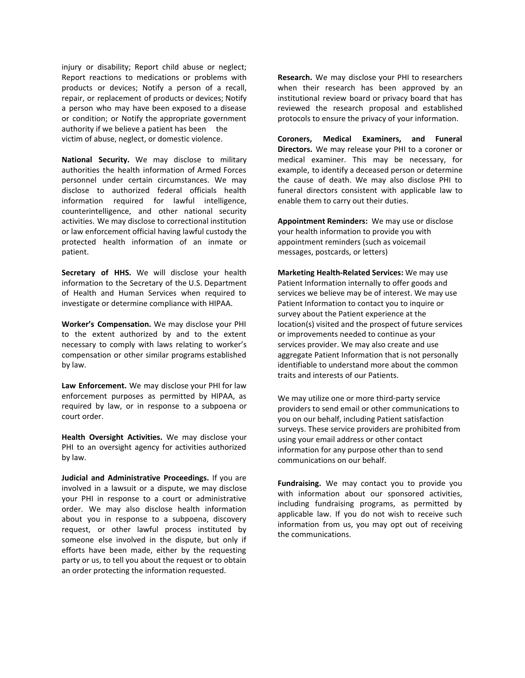injury or disability; Report child abuse or neglect; Report reactions to medications or problems with products or devices; Notify a person of a recall, repair, or replacement of products or devices; Notify a person who may have been exposed to a disease or condition; or Notify the appropriate government authority if we believe a patient has been the victim of abuse, neglect, or domestic violence.

**National Security.** We may disclose to military authorities the health information of Armed Forces personnel under certain circumstances. We may disclose to authorized federal officials health information required for lawful intelligence, counterintelligence, and other national security activities. We may disclose to correctional institution or law enforcement official having lawful custody the protected health information of an inmate or patient.

**Secretary of HHS.** We will disclose your health information to the Secretary of the U.S. Department of Health and Human Services when required to investigate or determine compliance with HIPAA.

**Worker's Compensation.** We may disclose your PHI to the extent authorized by and to the extent necessary to comply with laws relating to worker's compensation or other similar programs established by law.

**Law Enforcement.** We may disclose your PHI for law enforcement purposes as permitted by HIPAA, as required by law, or in response to a subpoena or court order.

**Health Oversight Activities.** We may disclose your PHI to an oversight agency for activities authorized by law.

**Judicial and Administrative Proceedings.** If you are involved in a lawsuit or a dispute, we may disclose your PHI in response to a court or administrative order. We may also disclose health information about you in response to a subpoena, discovery request, or other lawful process instituted by someone else involved in the dispute, but only if efforts have been made, either by the requesting party or us, to tell you about the request or to obtain an order protecting the information requested.

**Research.** We may disclose your PHI to researchers when their research has been approved by an institutional review board or privacy board that has reviewed the research proposal and established protocols to ensure the privacy of your information.

**Coroners, Medical Examiners, and Funeral Directors.** We may release your PHI to a coroner or medical examiner. This may be necessary, for example, to identify a deceased person or determine the cause of death. We may also disclose PHI to funeral directors consistent with applicable law to enable them to carry out their duties.

**Appointment Reminders:** We may use or disclose your health information to provide you with appointment reminders (such as voicemail messages, postcards, or letters)

**Marketing Health-Related Services:** We may use Patient Information internally to offer goods and services we believe may be of interest. We may use Patient Information to contact you to inquire or survey about the Patient experience at the location(s) visited and the prospect of future services or improvements needed to continue as your services provider. We may also create and use aggregate Patient Information that is not personally identifiable to understand more about the common traits and interests of our Patients.

We may utilize one or more third-party service providers to send email or other communications to you on our behalf, including Patient satisfaction surveys. These service providers are prohibited from using your email address or other contact information for any purpose other than to send communications on our behalf.

**Fundraising.** We may contact you to provide you with information about our sponsored activities, including fundraising programs, as permitted by applicable law. If you do not wish to receive such information from us, you may opt out of receiving the communications.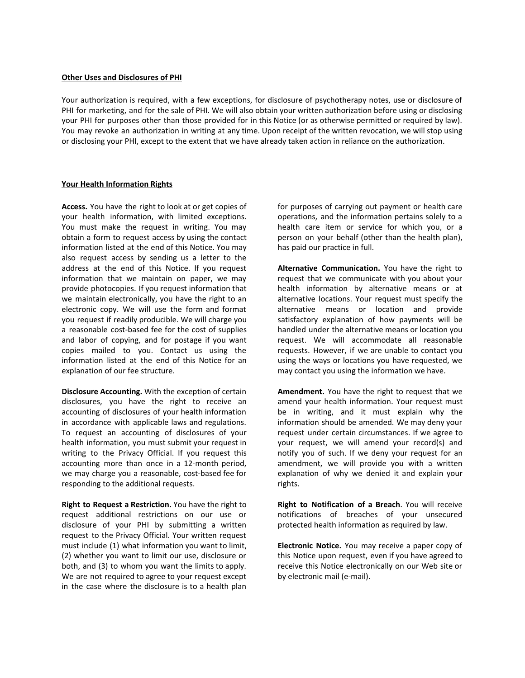#### **Other Uses and Disclosures of PHI**

Your authorization is required, with a few exceptions, for disclosure of psychotherapy notes, use or disclosure of PHI for marketing, and for the sale of PHI. We will also obtain your written authorization before using or disclosing your PHI for purposes other than those provided for in this Notice (or as otherwise permitted or required by law). You may revoke an authorization in writing at any time. Upon receipt of the written revocation, we will stop using or disclosing your PHI, except to the extent that we have already taken action in reliance on the authorization.

## **Your Health Information Rights**

**Access.** You have the right to look at or get copies of your health information, with limited exceptions. You must make the request in writing. You may obtain a form to request access by using the contact information listed at the end of this Notice. You may also request access by sending us a letter to the address at the end of this Notice. If you request information that we maintain on paper, we may provide photocopies. If you request information that we maintain electronically, you have the right to an electronic copy. We will use the form and format you request if readily producible. We will charge you a reasonable cost-based fee for the cost of supplies and labor of copying, and for postage if you want copies mailed to you. Contact us using the information listed at the end of this Notice for an explanation of our fee structure.

**Disclosure Accounting.** With the exception of certain disclosures, you have the right to receive an accounting of disclosures of your health information in accordance with applicable laws and regulations. To request an accounting of disclosures of your health information, you must submit your request in writing to the Privacy Official. If you request this accounting more than once in a 12-month period, we may charge you a reasonable, cost-based fee for responding to the additional requests.

**Right to Request a Restriction.** You have the right to request additional restrictions on our use or disclosure of your PHI by submitting a written request to the Privacy Official. Your written request must include (1) what information you want to limit, (2) whether you want to limit our use, disclosure or both, and (3) to whom you want the limits to apply. We are not required to agree to your request except in the case where the disclosure is to a health plan

for purposes of carrying out payment or health care operations, and the information pertains solely to a health care item or service for which you, or a person on your behalf (other than the health plan), has paid our practice in full.

**Alternative Communication.** You have the right to request that we communicate with you about your health information by alternative means or at alternative locations. Your request must specify the alternative means or location and provide satisfactory explanation of how payments will be handled under the alternative means or location you request. We will accommodate all reasonable requests. However, if we are unable to contact you using the ways or locations you have requested, we may contact you using the information we have.

**Amendment.** You have the right to request that we amend your health information. Your request must be in writing, and it must explain why the information should be amended. We may deny your request under certain circumstances. If we agree to your request, we will amend your record(s) and notify you of such. If we deny your request for an amendment, we will provide you with a written explanation of why we denied it and explain your rights.

**Right to Notification of a Breach**. You will receive notifications of breaches of your unsecured protected health information as required by law.

**Electronic Notice.** You may receive a paper copy of this Notice upon request, even if you have agreed to receive this Notice electronically on our Web site or by electronic mail (e-mail).